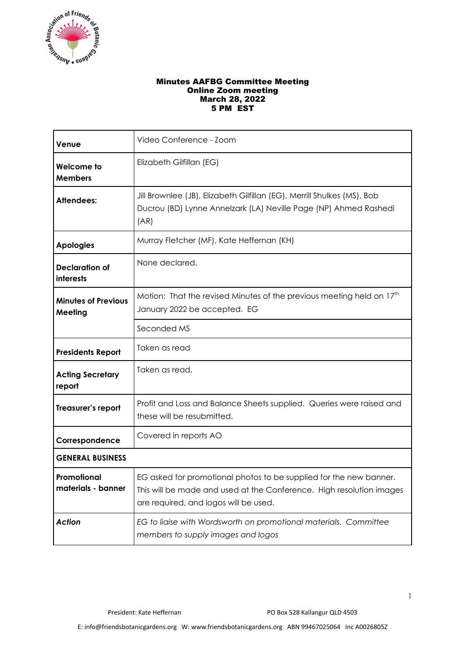

## Minutes AAFBG Committee Meeting Online Zoom meeting March 28, 2022 5 PM EST

| Venue                                 | Video Conference - Zoom                                                                                                                                                             |  |
|---------------------------------------|-------------------------------------------------------------------------------------------------------------------------------------------------------------------------------------|--|
| Welcome to<br><b>Members</b>          | Elizabeth Gilfillan (EG)                                                                                                                                                            |  |
| <b>Attendees:</b>                     | Jill Brownlee (JB), Elizabeth Gilfillan (EG), Merrill Shulkes (MS), Bob<br>Ducrou (BD) Lynne Annelzark (LA) Neville Page (NP) Ahmed Rashedi<br>(AR)                                 |  |
| <b>Apologies</b>                      | Murray Fletcher (MF), Kate Heffernan (KH)                                                                                                                                           |  |
| <b>Declaration of</b><br>interests    | None declared.                                                                                                                                                                      |  |
| <b>Minutes of Previous</b><br>Meeting | Motion: That the revised Minutes of the previous meeting held on 17 <sup>th</sup><br>January 2022 be accepted. EG                                                                   |  |
|                                       | Seconded MS                                                                                                                                                                         |  |
| <b>Presidents Report</b>              | Taken as read                                                                                                                                                                       |  |
| <b>Acting Secretary</b><br>report     | Taken as read,                                                                                                                                                                      |  |
| Treasurer's report                    | Profit and Loss and Balance Sheets supplied. Queries were raised and<br>these will be resubmitted.                                                                                  |  |
| Correspondence                        | Covered in reports AO                                                                                                                                                               |  |
| <b>GENERAL BUSINESS</b>               |                                                                                                                                                                                     |  |
| Promotional<br>materials - banner     | EG asked for promotional photos to be supplied for the new banner.<br>This will be made and used at the Conference. High resolution images<br>are required, and logos will be used. |  |
| <b>Action</b>                         | EG to liaise with Wordsworth on promotional materials. Committee<br>members to supply images and logos                                                                              |  |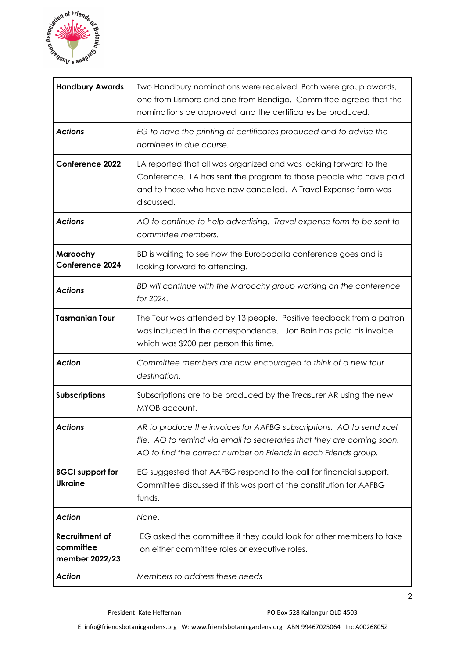

| <b>Handbury Awards</b>                               | Two Handbury nominations were received. Both were group awards,<br>one from Lismore and one from Bendigo. Committee agreed that the<br>nominations be approved, and the certificates be produced.                      |
|------------------------------------------------------|------------------------------------------------------------------------------------------------------------------------------------------------------------------------------------------------------------------------|
| <b>Actions</b>                                       | EG to have the printing of certificates produced and to advise the<br>nominees in due course.                                                                                                                          |
| <b>Conference 2022</b>                               | LA reported that all was organized and was looking forward to the<br>Conference. LA has sent the program to those people who have paid<br>and to those who have now cancelled. A Travel Expense form was<br>discussed. |
| <b>Actions</b>                                       | AO to continue to help advertising. Travel expense form to be sent to<br>committee members.                                                                                                                            |
| Maroochy<br><b>Conference 2024</b>                   | BD is waiting to see how the Eurobodalla conference goes and is<br>looking forward to attending.                                                                                                                       |
| <b>Actions</b>                                       | BD will continue with the Maroochy group working on the conference<br>for 2024.                                                                                                                                        |
| <b>Tasmanian Tour</b>                                | The Tour was attended by 13 people. Positive feedback from a patron<br>was included in the correspondence. Jon Bain has paid his invoice<br>which was \$200 per person this time.                                      |
| <b>Action</b>                                        | Committee members are now encouraged to think of a new tour<br>destination.                                                                                                                                            |
| <b>Subscriptions</b>                                 | Subscriptions are to be produced by the Treasurer AR using the new<br>MYOB account.                                                                                                                                    |
| Actions                                              | AR to produce the invoices for AAFBG subscriptions. AO to send xcel<br>file. AO to remind via email to secretaries that they are coming soon.<br>AO to find the correct number on Friends in each Friends group.       |
| <b>BGCI</b> support for<br><b>Ukraine</b>            | EG suggested that AAFBG respond to the call for financial support.<br>Committee discussed if this was part of the constitution for AAFBG<br>funds.                                                                     |
| <b>Action</b>                                        | None.                                                                                                                                                                                                                  |
| <b>Recruitment of</b><br>committee<br>member 2022/23 | EG asked the committee if they could look for other members to take<br>on either committee roles or executive roles.                                                                                                   |
| <b>Action</b>                                        | Members to address these needs                                                                                                                                                                                         |

2